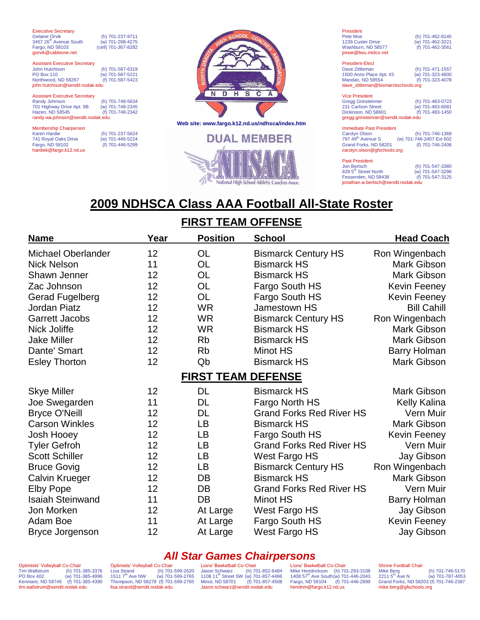| <b>Executive Secretary</b>           |                     |                 |
|--------------------------------------|---------------------|-----------------|
| Gelaine Orvik                        | (h) 701-237-9711    |                 |
| 3457 26 <sup>th</sup> Avenue South   | (w) 701-298-4275    |                 |
| Fargo, ND 58103                      | (cell) 701-367-8282 |                 |
| gorvik@cableone.net                  |                     |                 |
| <b>Assistant Executive Secretary</b> |                     |                 |
| <b>John Hutchison</b>                | (h) 701-587-6319    |                 |
| <b>PO Box 110</b>                    | (w) 701-587-5221    |                 |
| Northwood, ND 58267                  | (f) 701-587-5423    |                 |
| john.hutchison@sendit.nodak.edu      |                     |                 |
|                                      |                     |                 |
| <b>Assistant Executive Secretary</b> |                     |                 |
| Randy Johnson                        | (h) 701-748-5634    |                 |
| 701 Highway Drive Apt. 9B            | (w) 701-748-2345    |                 |
| Hazen, ND 58545                      | (f) 701-748-2342    |                 |
| randy.wa.johnson@sendit.nodak.edu    |                     |                 |
|                                      |                     | <b>Web site</b> |
| <b>Membership Chairperson</b>        |                     |                 |
| Karen Hardie                         | (h) 701-237-5624    |                 |
| 741 Royal Oaks Drive                 | (w) 701-446-5224    |                 |
| Fargo, ND 58102                      | (f) 701-446-5299    |                 |

hardiek@fargo.k12.nd.us



**Web site: www.fargo.k12.nd.us/ndhsca/index.htm**



| President                |                  |
|--------------------------|------------------|
| Pete Moe                 | (h) 701-462-8145 |
| <b>1239 Custer Drive</b> | (w) 701-462-3221 |
| Washburn, ND 58577       | (f) 701-462-3561 |
| pmoe@beu.midco.net       |                  |

President-Elect Dave Zittleman (h) 701-471-1557<br>1500 Anns Place Apt. #3 (w) 701-323-4800 1500 Anns Place Apt. #3 (w) 701-323-4800<br>Mandan, ND 58554 (f) 701-323-4078 Mandan, ND 58554 (f) 701-323-4078 dave\_zittleman@bismarckschools.org

| <b>Vice President</b>               |                  |
|-------------------------------------|------------------|
| <b>Gregg Grinsteinner</b>           | (h) 701-483-0723 |
| 231 Carlson Street                  | (w) 701-483-6081 |
| Dickinson, ND 58601                 | (f) 701-483-1450 |
| gregg.grinsteinner@sendit.nodak.edu |                  |

#### Immediate Past President<br>Carolyn Olson<br>797 49<sup>th</sup> Avenue S Carolyn Olson (h) 701-746-1369 797 49th Avenue S (w) 701-746-2407 Ext 602 Grand Forks, ND 58201 (f) 701-746-2406 carolyn.olson@gfschools.org

| <b>Past President</b>               |                  |  |
|-------------------------------------|------------------|--|
|                                     |                  |  |
| Jon Bertsch                         | (h) 701-547-3380 |  |
| 928 5 <sup>th</sup> Street North    | (w) 701-547-3296 |  |
| Fessenden, ND 58438                 | (f) 701-547-3125 |  |
| jonathan.w.bertsch@sendit.nodak.edu |                  |  |

# **2009 NDHSCA Class AAA Football All-State Roster**

### **FIRST TEAM OFFENSE**

| <b>Name</b>               | Year | <b>Position</b>           | <b>School</b>                   | <b>Head Coach</b>   |
|---------------------------|------|---------------------------|---------------------------------|---------------------|
| <b>Michael Oberlander</b> | 12   | <b>OL</b>                 | <b>Bismarck Century HS</b>      | Ron Wingenbach      |
| <b>Nick Nelson</b>        | 11   | OL                        | <b>Bismarck HS</b>              | <b>Mark Gibson</b>  |
| Shawn Jenner              | 12   | OL                        | <b>Bismarck HS</b>              | <b>Mark Gibson</b>  |
| Zac Johnson               | 12   | <b>OL</b>                 | Fargo South HS                  | <b>Kevin Feeney</b> |
| <b>Gerad Fugelberg</b>    | 12   | <b>OL</b>                 | Fargo South HS                  | <b>Kevin Feeney</b> |
| <b>Jordan Piatz</b>       | 12   | <b>WR</b>                 | <b>Jamestown HS</b>             | <b>Bill Cahill</b>  |
| <b>Garrett Jacobs</b>     | 12   | <b>WR</b>                 | <b>Bismarck Century HS</b>      | Ron Wingenbach      |
| Nick Joliffe              | 12   | <b>WR</b>                 | <b>Bismarck HS</b>              | <b>Mark Gibson</b>  |
| <b>Jake Miller</b>        | 12   | <b>Rb</b>                 | <b>Bismarck HS</b>              | Mark Gibson         |
| Dante' Smart              | 12   | <b>Rb</b>                 | Minot HS                        | <b>Barry Holman</b> |
| <b>Esley Thorton</b>      | 12   | Qb                        | <b>Bismarck HS</b>              | Mark Gibson         |
|                           |      | <b>FIRST TEAM DEFENSE</b> |                                 |                     |
| <b>Skye Miller</b>        | 12   | <b>DL</b>                 | <b>Bismarck HS</b>              | <b>Mark Gibson</b>  |
| Joe Swegarden             | 11   | DL                        | Fargo North HS                  | Kelly Kalina        |
| <b>Bryce O'Neill</b>      | 12   | DL                        | <b>Grand Forks Red River HS</b> | Vern Muir           |
| <b>Carson Winkles</b>     | 12   | LB                        | <b>Bismarck HS</b>              | Mark Gibson         |
| Josh Hooey                | 12   | LB                        | Fargo South HS                  | Kevin Feeney        |
| <b>Tyler Gefroh</b>       | 12   | LB                        | <b>Grand Forks Red River HS</b> | Vern Muir           |
| <b>Scott Schiller</b>     | 12   | LB                        | West Fargo HS                   | Jay Gibson          |
| <b>Bruce Govig</b>        | 12   | LB                        | <b>Bismarck Century HS</b>      | Ron Wingenbach      |
| <b>Calvin Krueger</b>     | 12   | DB                        | <b>Bismarck HS</b>              | Mark Gibson         |
| <b>Elby Pope</b>          | 12   | DB                        | <b>Grand Forks Red River HS</b> | Vern Muir           |
| <b>Isaiah Steinwand</b>   | 11   | DB                        | Minot HS                        | Barry Holman        |
| Jon Morken                | 12   | At Large                  | West Fargo HS                   | Jay Gibson          |
| Adam Boe                  | 11   | At Large                  | Fargo South HS                  | <b>Kevin Feeney</b> |
| Bryce Jorgenson           | 12   | At Large                  | West Fargo HS                   | Jay Gibson          |

### *All Star Games Chairpersons*

Optimists' Volleyball Co-Chair<br>Tim Wallstrum (h) 701-Tim Wallstrum (h) 701-385-3376<br>PO Box 402 (w) 701-385-4996  $(w)$  701-385-4996 Kenmare, ND 58746 (f) 701-385-4390 tim.wallstrum@sendit.nodak.edu

Optimists' Volleyball Co-Chair<br>Lisa Strand (h) 701-Lisa Strand (h) 701-599-2620<br>1511 7<sup>th</sup> Ave NW (w) 701-599-2765  $(w)$  701-599-2765 Thompson, ND 58278 (f) 701-599-2765 lisa.strand@sendit.nodak.edu

Lions' Basketball Co-Chair Jason Schwarz (h) 701-852-6484 1108 11th Street SW (w) 701-857-4496 Minot, ND 58701 (f) 701-857-4508 Jason.schwarz@sendit.nodak.edu Lions' Basketball Co-Chair Mike Hendrickson (h) 701-293-3108<br>1408 57<sup>th</sup> Ave South(w) 701-446-2043<br>Fargo, ND 58104 (f) 701-446-2899<br>hendrim@fargo.k12.nd.us

Shrine Football Chair<br>Mike Berg<br>2211 5<sup>th</sup> Ave N (h) 701-746-5170  $(w)$  701-787-4053 Grand Forks, ND 58203 (f) 701-746-2387 mike.berg@gfschools.org